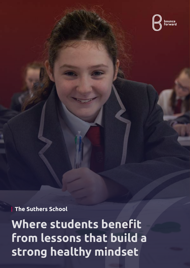

**The Suthers School**

**Where students benefit from lessons that build a strong healthy mindset**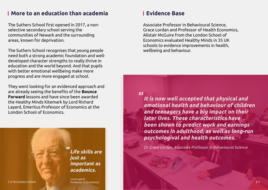## **More to an education than academia**

The Suthers School first opened in 2017, a nonselective secondary school serving the communities of Newark and the surrounding areas, known for deprivation.

The Suthers School recognises that young people need both a strong academic foundation and welldeveloped character strengths to really thrive in education and the world beyond. And that pupils with better emotional wellbeing make more progress and are more engaged at school.

They went looking for an evidenced approach and are already seeing the benefits of the **Bounce Forward** lessons and have since been awarded the Healthy Minds Kitemark by Lord Richard Layard, Emeritus Professor of Economics at the London School of Economics.

2 The Suthers School 3 Professor of Ecomonics Lord Layard,

# **Evidence Base**

**It is now well accepted that physical and emotional health and behaviour of children and teenagers have a big impact on their later lives. These characteristics have been shown to predict work and earnings outcomes in adulthood, as well as long-run psychologival and health outcomes. "**

Dr Grace Lordan, Associate Professor in Behavioural Science

Associate Professor in Behavioural Science, Grace Lordan and Professor of Health Economics, Alistair McGuire from the London School of Economics evaluated Healthy Minds in 35 UK schools to evidence improvements in health, wellbeing and behaviour.

**Life skills are just as important as academics. "**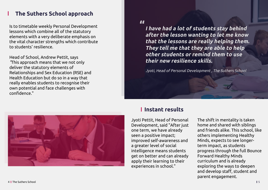# **The Suthers School approach**

Is to timetable weekly Personal Development lessons which combine all of the statutory elements with a very deliberate emphasis on the vital character strengths which contribute to students' resilience.

Head of School, Andrew Pettit, says "This approach means that we not only deliver the statutory elements of Relationships and Sex Education (RSE) and Health Education but do so in a way that really enables students to recognise their own potential and face challenges with confidence."

# **Instant results**

Jyoti Pettit, Head of Personal Development, said "After just one term, we have already seen a positive impact; improved self-awareness and a greater level of social intelligence means students get on better and can already apply their learning to their experiences in school."

**I have had a lot of students stay behind after the lesson wanting to let me know that the lessons are really helping them. They tell me that they are able to help other students or remind them to use their new resilience skills.** 

Jyoti, Head of Personal Development , The Suthers School



### **"**

The shift in mentality is taken home and shared with siblings and friends alike. This school, like others implementing Healthy Minds, expects to see longerterm impact, as students progress through the full Bounce Forward Healthy Minds curriculum and is already exploring the ways to deepen and develop staff, student and parent engagement.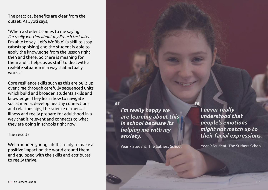The practical benefits are clear from the outset. As Jyoti says, "When a student comes to me saying

I'm really worried about my French test later, I'm able to say 'Let's WoBble' (a skill to stop catastrophising) and the student is able to apply the knowledge from the lesson right then and there. So there is meaning for them and it helps us as staff to deal with a real-life situation in a way that actually works."

Core resilience skills such as this are built up over time through carefully sequenced units which build and broaden students skills and knowledge. They learn how to navigate social media, develop healthy connections and relationships, the science of mental illness and really prepare for adulthood in a way that it relevant and connects to what they are doing in schools right now.

The result? Well-rounded young adults, ready to make a positive impact on the world around them and equipped with the skills and attributes to really thrive.

**I never really understood that people's emotions might not match up to their facial expressions.**

Year 9 Student, The Suthers School

**"**

**I'm really happy we are learning about this in school because its helping me with my anxiety.**

Year 7 Student, The Suthers School